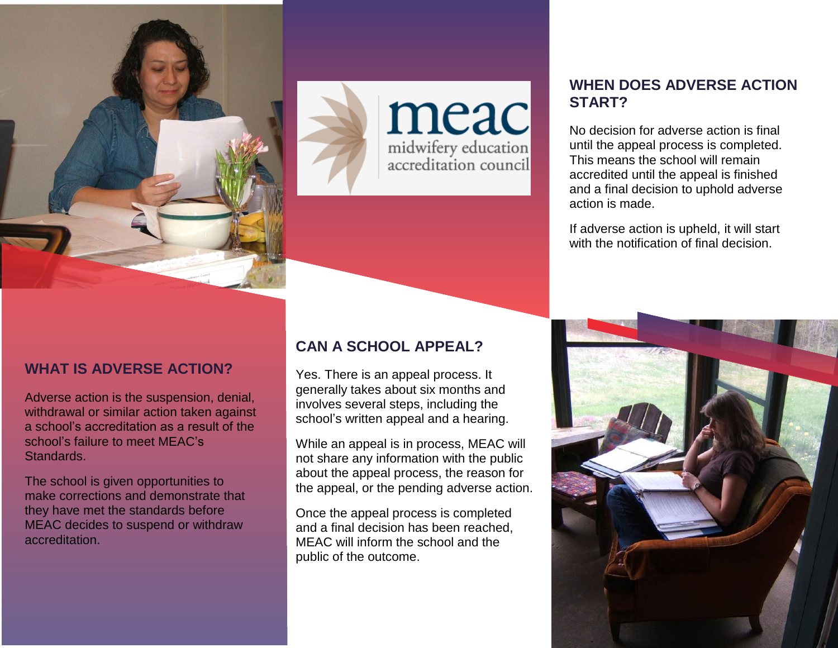



## **WHAT IS ADVERSE ACTION?**

Adverse action is the suspension, denial, withdrawal or similar action taken against a school's accreditation as a result of the school's failure to meet MEAC's Standards.

The school is given opportunities to make corrections and demonstrate that they have met the standards before MEAC decides to suspend or withdraw accreditation.

#### **CAN A SCHOOL APPEAL?**

Yes. There is an appeal process. It generally takes about six months and involves several steps, including the school's written appeal and a hearing.

While an appeal is in process, MEAC will not share any information with the public about the appeal process, the reason for the appeal, or the pending adverse action.

Once the appeal process is completed and a final decision has been reached, MEAC will inform the school and the public of the outcome.

#### **WHEN DOES ADVERSE ACTION START?**

No decision for adverse action is final until the appeal process is completed. This means the school will remain accredited until the appeal is finished and a final decision to uphold adverse action is made.

If adverse action is upheld, it will start with the notification of final decision.